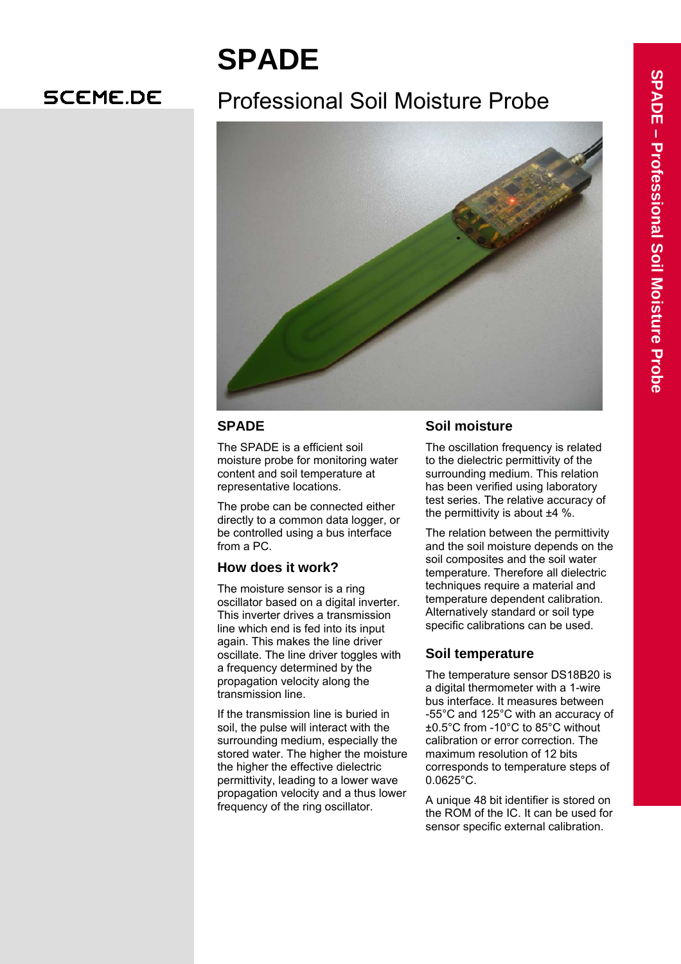# **SPADE**

## **SCEME.DE**

## Professional Soil Moisture Probe



## **SPADE**

The SPADE is a efficient soil moisture probe for monitoring water content and soil temperature at representative locations.

The probe can be connected either directly to a common data logger, or be controlled using a bus interface from a PC.

## **How does it work?**

The moisture sensor is a ring oscillator based on a digital inverter. This inverter drives a transmission line which end is fed into its input again. This makes the line driver oscillate. The line driver toggles with a frequency determined by the propagation velocity along the transmission line.

If the transmission line is buried in soil, the pulse will interact with the surrounding medium, especially the stored water. The higher the moisture the higher the effective dielectric permittivity, leading to a lower wave propagation velocity and a thus lower frequency of the ring oscillator.

## **Soil moisture**

The oscillation frequency is related to the dielectric permittivity of the surrounding medium. This relation has been verified using laboratory test series. The relative accuracy of the permittivity is about ±4 %.

The relation between the permittivity and the soil moisture depends on the soil composites and the soil water temperature. Therefore all dielectric techniques require a material and temperature dependent calibration. Alternatively standard or soil type specific calibrations can be used.

## **Soil temperature**

The temperature sensor DS18B20 is a digital thermometer with a 1-wire bus interface. It measures between -55°C and 125°C with an accuracy of ±0.5°C from -10°C to 85°C without calibration or error correction. The maximum resolution of 12 bits corresponds to temperature steps of 0.0625°C.

A unique 48 bit identifier is stored on the ROM of the IC. It can be used for sensor specific external calibration.